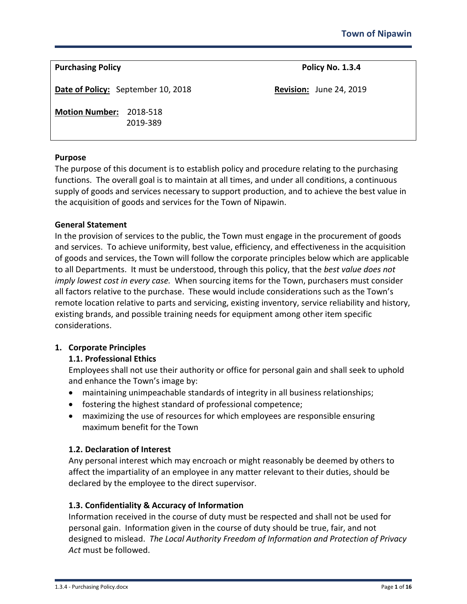| <b>Purchasing Policy</b>           |                      | Policy No. 1.3.4               |  |
|------------------------------------|----------------------|--------------------------------|--|
| Date of Policy: September 10, 2018 |                      | <b>Revision:</b> June 24, 2019 |  |
| <b>Motion Number:</b>              | 2018-518<br>2019-389 |                                |  |

## **Purpose**

The purpose of this document is to establish policy and procedure relating to the purchasing functions. The overall goal is to maintain at all times, and under all conditions, a continuous supply of goods and services necessary to support production, and to achieve the best value in the acquisition of goods and services for the Town of Nipawin.

#### **General Statement**

In the provision of services to the public, the Town must engage in the procurement of goods and services. To achieve uniformity, best value, efficiency, and effectiveness in the acquisition of goods and services, the Town will follow the corporate principles below which are applicable to all Departments. It must be understood, through this policy, that the *best value does not imply lowest cost in every case.* When sourcing items for the Town, purchasers must consider all factors relative to the purchase. These would include considerations such as the Town's remote location relative to parts and servicing, existing inventory, service reliability and history, existing brands, and possible training needs for equipment among other item specific considerations.

## **1. Corporate Principles**

## **1.1. Professional Ethics**

Employees shall not use their authority or office for personal gain and shall seek to uphold and enhance the Town's image by:

- maintaining unimpeachable standards of integrity in all business relationships;
- fostering the highest standard of professional competence;
- maximizing the use of resources for which employees are responsible ensuring maximum benefit for the Town

## **1.2. Declaration of Interest**

Any personal interest which may encroach or might reasonably be deemed by others to affect the impartiality of an employee in any matter relevant to their duties, should be declared by the employee to the direct supervisor.

## **1.3. Confidentiality & Accuracy of Information**

Information received in the course of duty must be respected and shall not be used for personal gain. Information given in the course of duty should be true, fair, and not designed to mislead. *The Local Authority Freedom of Information and Protection of Privacy Act* must be followed.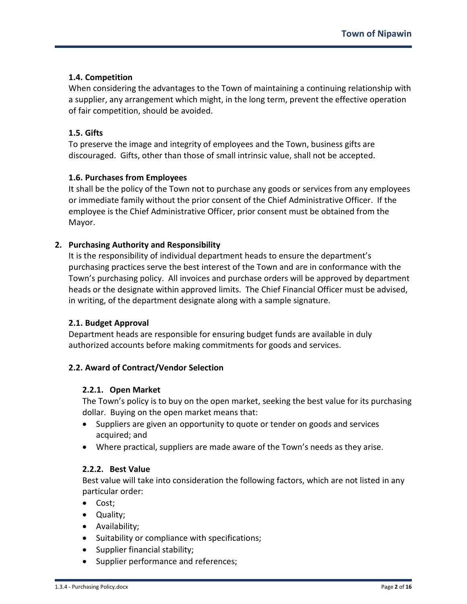# **1.4. Competition**

When considering the advantages to the Town of maintaining a continuing relationship with a supplier, any arrangement which might, in the long term, prevent the effective operation of fair competition, should be avoided.

# **1.5. Gifts**

To preserve the image and integrity of employees and the Town, business gifts are discouraged. Gifts, other than those of small intrinsic value, shall not be accepted.

# **1.6. Purchases from Employees**

It shall be the policy of the Town not to purchase any goods or services from any employees or immediate family without the prior consent of the Chief Administrative Officer. If the employee is the Chief Administrative Officer, prior consent must be obtained from the Mayor.

## **2. Purchasing Authority and Responsibility**

It is the responsibility of individual department heads to ensure the department's purchasing practices serve the best interest of the Town and are in conformance with the Town's purchasing policy. All invoices and purchase orders will be approved by department heads or the designate within approved limits. The Chief Financial Officer must be advised, in writing, of the department designate along with a sample signature.

## **2.1. Budget Approval**

Department heads are responsible for ensuring budget funds are available in duly authorized accounts before making commitments for goods and services.

## **2.2. Award of Contract/Vendor Selection**

## **2.2.1. Open Market**

The Town's policy is to buy on the open market, seeking the best value for its purchasing dollar. Buying on the open market means that:

- Suppliers are given an opportunity to quote or tender on goods and services acquired; and
- Where practical, suppliers are made aware of the Town's needs as they arise.

## **2.2.2. Best Value**

Best value will take into consideration the following factors, which are not listed in any particular order:

- Cost;
- Quality;
- Availability;
- Suitability or compliance with specifications;
- Supplier financial stability;
- Supplier performance and references;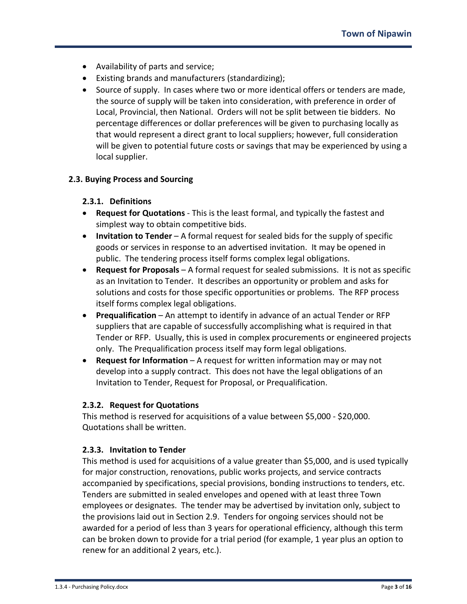- Availability of parts and service;
- Existing brands and manufacturers (standardizing);
- Source of supply. In cases where two or more identical offers or tenders are made, the source of supply will be taken into consideration, with preference in order of Local, Provincial, then National. Orders will not be split between tie bidders. No percentage differences or dollar preferences will be given to purchasing locally as that would represent a direct grant to local suppliers; however, full consideration will be given to potential future costs or savings that may be experienced by using a local supplier.

## **2.3. Buying Process and Sourcing**

#### **2.3.1. Definitions**

- **Request for Quotations** This is the least formal, and typically the fastest and simplest way to obtain competitive bids.
- **Invitation to Tender** A formal request for sealed bids for the supply of specific goods or services in response to an advertised invitation. It may be opened in public. The tendering process itself forms complex legal obligations.
- **Request for Proposals** A formal request for sealed submissions. It is not as specific as an Invitation to Tender. It describes an opportunity or problem and asks for solutions and costs for those specific opportunities or problems. The RFP process itself forms complex legal obligations.
- **Prequalification** An attempt to identify in advance of an actual Tender or RFP suppliers that are capable of successfully accomplishing what is required in that Tender or RFP. Usually, this is used in complex procurements or engineered projects only. The Prequalification process itself may form legal obligations.
- **Request for Information** A request for written information may or may not develop into a supply contract. This does not have the legal obligations of an Invitation to Tender, Request for Proposal, or Prequalification.

#### **2.3.2. Request for Quotations**

This method is reserved for acquisitions of a value between \$5,000 - \$20,000. Quotations shall be written.

## **2.3.3. Invitation to Tender**

This method is used for acquisitions of a value greater than \$5,000, and is used typically for major construction, renovations, public works projects, and service contracts accompanied by specifications, special provisions, bonding instructions to tenders, etc. Tenders are submitted in sealed envelopes and opened with at least three Town employees or designates. The tender may be advertised by invitation only, subject to the provisions laid out in Section 2.9. Tenders for ongoing services should not be awarded for a period of less than 3 years for operational efficiency, although this term can be broken down to provide for a trial period (for example, 1 year plus an option to renew for an additional 2 years, etc.).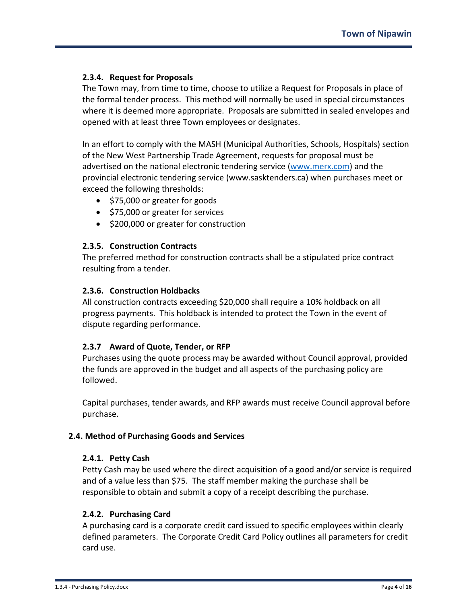## **2.3.4. Request for Proposals**

The Town may, from time to time, choose to utilize a Request for Proposals in place of the formal tender process. This method will normally be used in special circumstances where it is deemed more appropriate. Proposals are submitted in sealed envelopes and opened with at least three Town employees or designates.

In an effort to comply with the MASH (Municipal Authorities, Schools, Hospitals) section of the New West Partnership Trade Agreement, requests for proposal must be advertised on the national electronic tendering service [\(www.merx.com\)](http://www.merx.com/) and the provincial electronic tendering service (www.sasktenders.ca) when purchases meet or exceed the following thresholds:

- \$75,000 or greater for goods
- \$75,000 or greater for services
- \$200,000 or greater for construction

## **2.3.5. Construction Contracts**

The preferred method for construction contracts shall be a stipulated price contract resulting from a tender.

## **2.3.6. Construction Holdbacks**

All construction contracts exceeding \$20,000 shall require a 10% holdback on all progress payments. This holdback is intended to protect the Town in the event of dispute regarding performance.

## **2.3.7 Award of Quote, Tender, or RFP**

Purchases using the quote process may be awarded without Council approval, provided the funds are approved in the budget and all aspects of the purchasing policy are followed.

Capital purchases, tender awards, and RFP awards must receive Council approval before purchase.

## **2.4. Method of Purchasing Goods and Services**

## **2.4.1. Petty Cash**

Petty Cash may be used where the direct acquisition of a good and/or service is required and of a value less than \$75. The staff member making the purchase shall be responsible to obtain and submit a copy of a receipt describing the purchase.

## **2.4.2. Purchasing Card**

A purchasing card is a corporate credit card issued to specific employees within clearly defined parameters. The Corporate Credit Card Policy outlines all parameters for credit card use.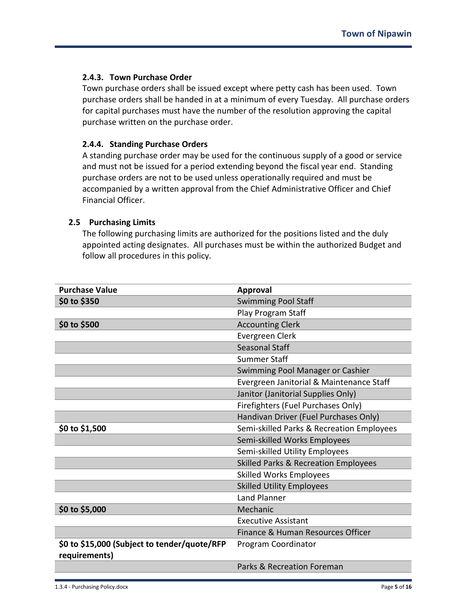## **2.4.3. Town Purchase Order**

Town purchase orders shall be issued except where petty cash has been used. Town purchase orders shall be handed in at a minimum of every Tuesday. All purchase orders for capital purchases must have the number of the resolution approving the capital purchase written on the purchase order.

## **2.4.4. Standing Purchase Orders**

A standing purchase order may be used for the continuous supply of a good or service and must not be issued for a period extending beyond the fiscal year end. Standing purchase orders are not to be used unless operationally required and must be accompanied by a written approval from the Chief Administrative Officer and Chief Financial Officer.

## **2.5 Purchasing Limits**

The following purchasing limits are authorized for the positions listed and the duly appointed acting designates. All purchases must be within the authorized Budget and follow all procedures in this policy.

| <b>Purchase Value</b>                                         | <b>Approval</b>                                 |
|---------------------------------------------------------------|-------------------------------------------------|
| \$0 to \$350                                                  | <b>Swimming Pool Staff</b>                      |
|                                                               | Play Program Staff                              |
| \$0 to \$500                                                  | <b>Accounting Clerk</b>                         |
|                                                               | Evergreen Clerk                                 |
|                                                               | <b>Seasonal Staff</b>                           |
|                                                               | <b>Summer Staff</b>                             |
|                                                               | Swimming Pool Manager or Cashier                |
|                                                               | Evergreen Janitorial & Maintenance Staff        |
|                                                               | Janitor (Janitorial Supplies Only)              |
|                                                               | Firefighters (Fuel Purchases Only)              |
|                                                               | Handivan Driver (Fuel Purchases Only)           |
| \$0 to \$1,500                                                | Semi-skilled Parks & Recreation Employees       |
|                                                               | Semi-skilled Works Employees                    |
|                                                               | Semi-skilled Utility Employees                  |
|                                                               | <b>Skilled Parks &amp; Recreation Employees</b> |
|                                                               | <b>Skilled Works Employees</b>                  |
|                                                               | <b>Skilled Utility Employees</b>                |
|                                                               | <b>Land Planner</b>                             |
| \$0 to \$5,000                                                | Mechanic                                        |
|                                                               | <b>Executive Assistant</b>                      |
|                                                               | Finance & Human Resources Officer               |
| \$0 to \$15,000 (Subject to tender/quote/RFP<br>requirements) | Program Coordinator                             |
|                                                               | Parks & Recreation Foreman                      |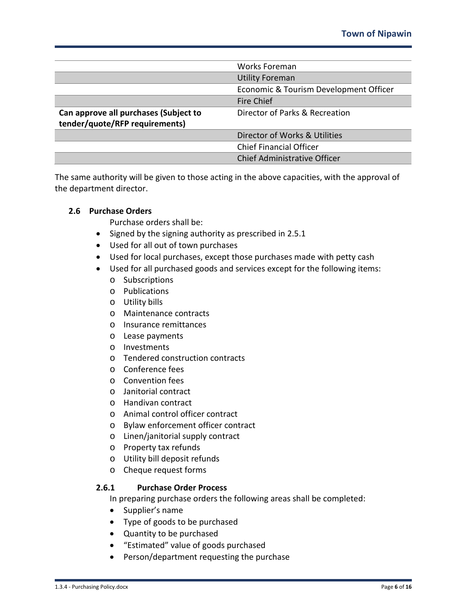|                                       | <b>Works Foreman</b>                   |
|---------------------------------------|----------------------------------------|
|                                       | <b>Utility Foreman</b>                 |
|                                       | Economic & Tourism Development Officer |
|                                       | Fire Chief                             |
| Can approve all purchases (Subject to | Director of Parks & Recreation         |
| tender/quote/RFP requirements)        |                                        |
|                                       | Director of Works & Utilities          |
|                                       | <b>Chief Financial Officer</b>         |
|                                       | <b>Chief Administrative Officer</b>    |

The same authority will be given to those acting in the above capacities, with the approval of the department director.

## **2.6 Purchase Orders**

Purchase orders shall be:

- Signed by the signing authority as prescribed in 2.5.1
- Used for all out of town purchases
- Used for local purchases, except those purchases made with petty cash
- Used for all purchased goods and services except for the following items:
	- o Subscriptions
	- o Publications
	- o Utility bills
	- o Maintenance contracts
	- o Insurance remittances
	- o Lease payments
	- o Investments
	- o Tendered construction contracts
	- o Conference fees
	- o Convention fees
	- o Janitorial contract
	- o Handivan contract
	- o Animal control officer contract
	- o Bylaw enforcement officer contract
	- o Linen/janitorial supply contract
	- o Property tax refunds
	- o Utility bill deposit refunds
	- o Cheque request forms

## **2.6.1 Purchase Order Process**

In preparing purchase orders the following areas shall be completed:

- Supplier's name
- Type of goods to be purchased
- Quantity to be purchased
- "Estimated" value of goods purchased
- Person/department requesting the purchase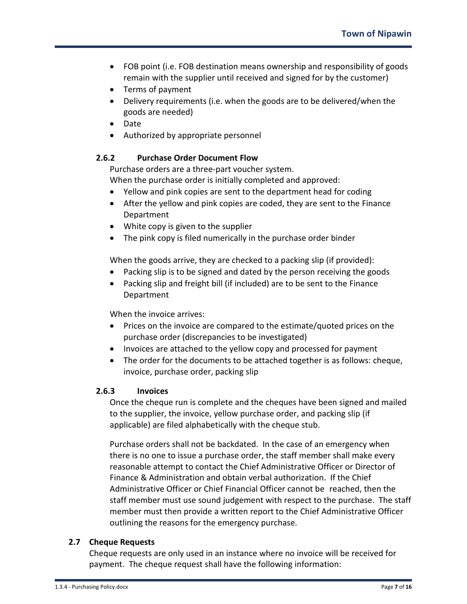- FOB point (i.e. FOB destination means ownership and responsibility of goods remain with the supplier until received and signed for by the customer)
- Terms of payment
- Delivery requirements (i.e. when the goods are to be delivered/when the goods are needed)
- Date
- Authorized by appropriate personnel

# **2.6.2 Purchase Order Document Flow**

Purchase orders are a three-part voucher system.

When the purchase order is initially completed and approved:

- Yellow and pink copies are sent to the department head for coding
- After the yellow and pink copies are coded, they are sent to the Finance Department
- White copy is given to the supplier
- The pink copy is filed numerically in the purchase order binder

When the goods arrive, they are checked to a packing slip (if provided):

- Packing slip is to be signed and dated by the person receiving the goods
- Packing slip and freight bill (if included) are to be sent to the Finance Department

When the invoice arrives:

- Prices on the invoice are compared to the estimate/quoted prices on the purchase order (discrepancies to be investigated)
- Invoices are attached to the yellow copy and processed for payment
- The order for the documents to be attached together is as follows: cheque, invoice, purchase order, packing slip

## **2.6.3 Invoices**

Once the cheque run is complete and the cheques have been signed and mailed to the supplier, the invoice, yellow purchase order, and packing slip (if applicable) are filed alphabetically with the cheque stub.

Purchase orders shall not be backdated. In the case of an emergency when there is no one to issue a purchase order, the staff member shall make every reasonable attempt to contact the Chief Administrative Officer or Director of Finance & Administration and obtain verbal authorization. If the Chief Administrative Officer or Chief Financial Officer cannot be reached, then the staff member must use sound judgement with respect to the purchase. The staff member must then provide a written report to the Chief Administrative Officer outlining the reasons for the emergency purchase.

# **2.7 Cheque Requests**

Cheque requests are only used in an instance where no invoice will be received for payment. The cheque request shall have the following information: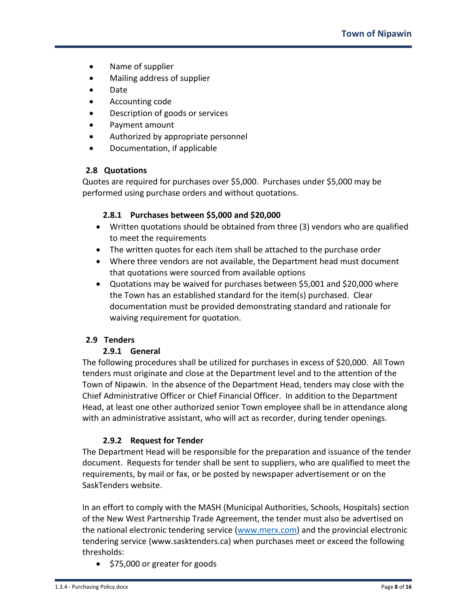- Name of supplier
- Mailing address of supplier
- Date
- Accounting code
- Description of goods or services
- Payment amount
- Authorized by appropriate personnel
- Documentation, if applicable

## **2.8 Quotations**

Quotes are required for purchases over \$5,000. Purchases under \$5,000 may be performed using purchase orders and without quotations.

## **2.8.1 Purchases between \$5,000 and \$20,000**

- Written quotations should be obtained from three (3) vendors who are qualified to meet the requirements
- The written quotes for each item shall be attached to the purchase order
- Where three vendors are not available, the Department head must document that quotations were sourced from available options
- Quotations may be waived for purchases between \$5,001 and \$20,000 where the Town has an established standard for the item(s) purchased. Clear documentation must be provided demonstrating standard and rationale for waiving requirement for quotation.

# **2.9 Tenders**

## **2.9.1 General**

The following procedures shall be utilized for purchases in excess of \$20,000. All Town tenders must originate and close at the Department level and to the attention of the Town of Nipawin. In the absence of the Department Head, tenders may close with the Chief Administrative Officer or Chief Financial Officer. In addition to the Department Head, at least one other authorized senior Town employee shall be in attendance along with an administrative assistant, who will act as recorder, during tender openings.

## **2.9.2 Request for Tender**

The Department Head will be responsible for the preparation and issuance of the tender document. Requests for tender shall be sent to suppliers, who are qualified to meet the requirements, by mail or fax, or be posted by newspaper advertisement or on the SaskTenders website.

In an effort to comply with the MASH (Municipal Authorities, Schools, Hospitals) section of the New West Partnership Trade Agreement, the tender must also be advertised on the national electronic tendering service [\(www.merx.com\)](http://www.merx.com/) and the provincial electronic tendering service (www.sasktenders.ca) when purchases meet or exceed the following thresholds:

• \$75,000 or greater for goods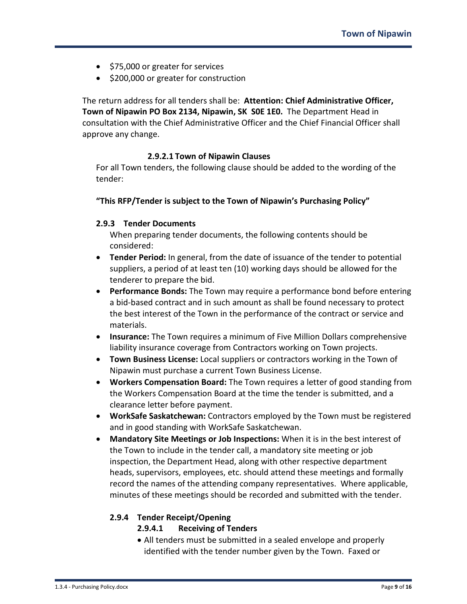- \$75,000 or greater for services
- \$200,000 or greater for construction

The return address for all tenders shall be: **Attention: Chief Administrative Officer, Town of Nipawin PO Box 2134, Nipawin, SK S0E 1E0.** The Department Head in consultation with the Chief Administrative Officer and the Chief Financial Officer shall approve any change.

## **2.9.2.1 Town of Nipawin Clauses**

For all Town tenders, the following clause should be added to the wording of the tender:

## **"This RFP/Tender is subject to the Town of Nipawin's Purchasing Policy"**

## **2.9.3 Tender Documents**

When preparing tender documents, the following contents should be considered:

- **Tender Period:** In general, from the date of issuance of the tender to potential suppliers, a period of at least ten (10) working days should be allowed for the tenderer to prepare the bid.
- **Performance Bonds:** The Town may require a performance bond before entering a bid-based contract and in such amount as shall be found necessary to protect the best interest of the Town in the performance of the contract or service and materials.
- **Insurance:** The Town requires a minimum of Five Million Dollars comprehensive liability insurance coverage from Contractors working on Town projects.
- **Town Business License:** Local suppliers or contractors working in the Town of Nipawin must purchase a current Town Business License.
- **Workers Compensation Board:** The Town requires a letter of good standing from the Workers Compensation Board at the time the tender is submitted, and a clearance letter before payment.
- **WorkSafe Saskatchewan:** Contractors employed by the Town must be registered and in good standing with WorkSafe Saskatchewan.
- **Mandatory Site Meetings or Job Inspections:** When it is in the best interest of the Town to include in the tender call, a mandatory site meeting or job inspection, the Department Head, along with other respective department heads, supervisors, employees, etc. should attend these meetings and formally record the names of the attending company representatives. Where applicable, minutes of these meetings should be recorded and submitted with the tender.

# **2.9.4 Tender Receipt/Opening**

## **2.9.4.1 Receiving of Tenders**

• All tenders must be submitted in a sealed envelope and properly identified with the tender number given by the Town. Faxed or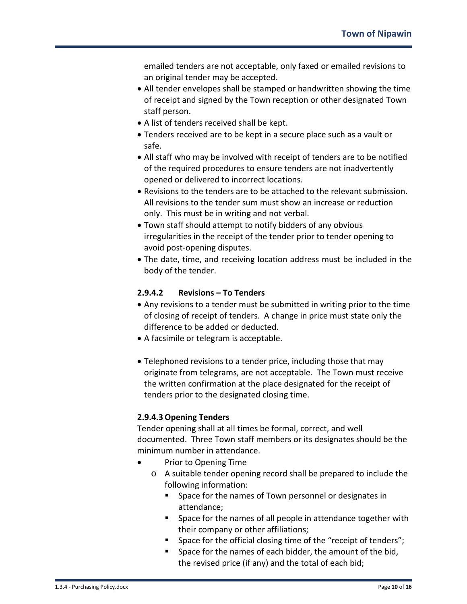emailed tenders are not acceptable, only faxed or emailed revisions to an original tender may be accepted.

- All tender envelopes shall be stamped or handwritten showing the time of receipt and signed by the Town reception or other designated Town staff person.
- A list of tenders received shall be kept.
- Tenders received are to be kept in a secure place such as a vault or safe.
- All staff who may be involved with receipt of tenders are to be notified of the required procedures to ensure tenders are not inadvertently opened or delivered to incorrect locations.
- Revisions to the tenders are to be attached to the relevant submission. All revisions to the tender sum must show an increase or reduction only. This must be in writing and not verbal.
- Town staff should attempt to notify bidders of any obvious irregularities in the receipt of the tender prior to tender opening to avoid post-opening disputes.
- The date, time, and receiving location address must be included in the body of the tender.

## **2.9.4.2 Revisions – To Tenders**

- Any revisions to a tender must be submitted in writing prior to the time of closing of receipt of tenders. A change in price must state only the difference to be added or deducted.
- A facsimile or telegram is acceptable.
- Telephoned revisions to a tender price, including those that may originate from telegrams, are not acceptable. The Town must receive the written confirmation at the place designated for the receipt of tenders prior to the designated closing time.

# **2.9.4.3Opening Tenders**

Tender opening shall at all times be formal, correct, and well documented. Three Town staff members or its designates should be the minimum number in attendance.

- Prior to Opening Time
	- o A suitable tender opening record shall be prepared to include the following information:
		- **Space for the names of Town personnel or designates in** attendance;
		- **Space for the names of all people in attendance together with** their company or other affiliations;
		- Space for the official closing time of the "receipt of tenders";
		- **Space for the names of each bidder, the amount of the bid,** the revised price (if any) and the total of each bid;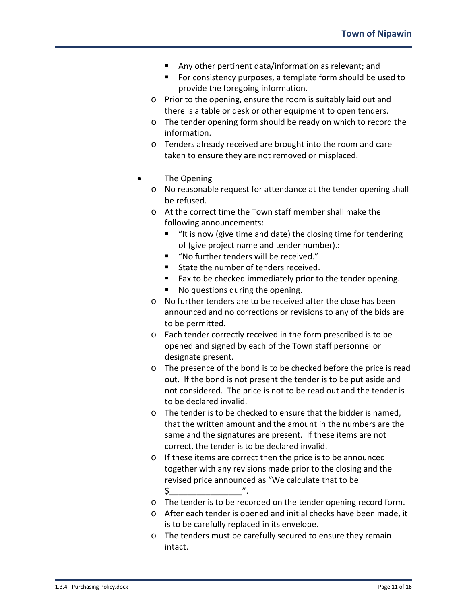- Any other pertinent data/information as relevant; and
- **For consistency purposes, a template form should be used to** provide the foregoing information.
- o Prior to the opening, ensure the room is suitably laid out and there is a table or desk or other equipment to open tenders.
- o The tender opening form should be ready on which to record the information.
- o Tenders already received are brought into the room and care taken to ensure they are not removed or misplaced.
- The Opening
	- o No reasonable request for attendance at the tender opening shall be refused.
	- o At the correct time the Town staff member shall make the following announcements:
		- "It is now (give time and date) the closing time for tendering of (give project name and tender number).:
		- "No further tenders will be received."
		- **State the number of tenders received.**
		- **Fax to be checked immediately prior to the tender opening.**
		- No questions during the opening.
	- o No further tenders are to be received after the close has been announced and no corrections or revisions to any of the bids are to be permitted.
	- o Each tender correctly received in the form prescribed is to be opened and signed by each of the Town staff personnel or designate present.
	- o The presence of the bond is to be checked before the price is read out. If the bond is not present the tender is to be put aside and not considered. The price is not to be read out and the tender is to be declared invalid.
	- o The tender is to be checked to ensure that the bidder is named, that the written amount and the amount in the numbers are the same and the signatures are present. If these items are not correct, the tender is to be declared invalid.
	- o If these items are correct then the price is to be announced together with any revisions made prior to the closing and the revised price announced as "We calculate that to be \$\_\_\_\_\_\_\_\_\_\_\_\_\_\_\_\_".
	- o The tender is to be recorded on the tender opening record form.
	- o After each tender is opened and initial checks have been made, it is to be carefully replaced in its envelope.
	- o The tenders must be carefully secured to ensure they remain intact.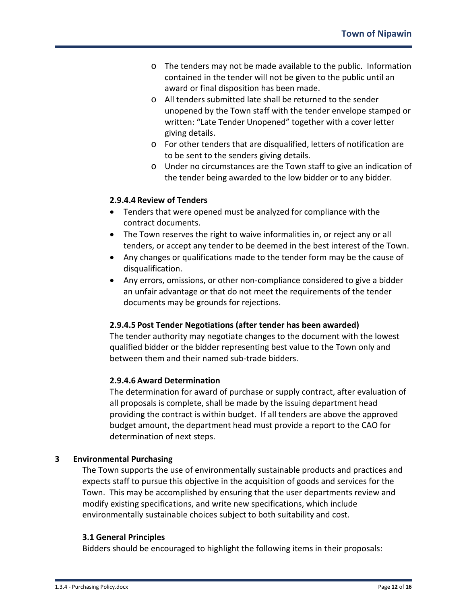- o The tenders may not be made available to the public. Information contained in the tender will not be given to the public until an award or final disposition has been made.
- o All tenders submitted late shall be returned to the sender unopened by the Town staff with the tender envelope stamped or written: "Late Tender Unopened" together with a cover letter giving details.
- o For other tenders that are disqualified, letters of notification are to be sent to the senders giving details.
- o Under no circumstances are the Town staff to give an indication of the tender being awarded to the low bidder or to any bidder.

## **2.9.4.4 Review of Tenders**

- Tenders that were opened must be analyzed for compliance with the contract documents.
- The Town reserves the right to waive informalities in, or reject any or all tenders, or accept any tender to be deemed in the best interest of the Town.
- Any changes or qualifications made to the tender form may be the cause of disqualification.
- Any errors, omissions, or other non-compliance considered to give a bidder an unfair advantage or that do not meet the requirements of the tender documents may be grounds for rejections.

# **2.9.4.5 Post Tender Negotiations (after tender has been awarded)**

The tender authority may negotiate changes to the document with the lowest qualified bidder or the bidder representing best value to the Town only and between them and their named sub-trade bidders.

## **2.9.4.6 Award Determination**

The determination for award of purchase or supply contract, after evaluation of all proposals is complete, shall be made by the issuing department head providing the contract is within budget. If all tenders are above the approved budget amount, the department head must provide a report to the CAO for determination of next steps.

# **3 Environmental Purchasing**

The Town supports the use of environmentally sustainable products and practices and expects staff to pursue this objective in the acquisition of goods and services for the Town. This may be accomplished by ensuring that the user departments review and modify existing specifications, and write new specifications, which include environmentally sustainable choices subject to both suitability and cost.

# **3.1 General Principles**

Bidders should be encouraged to highlight the following items in their proposals: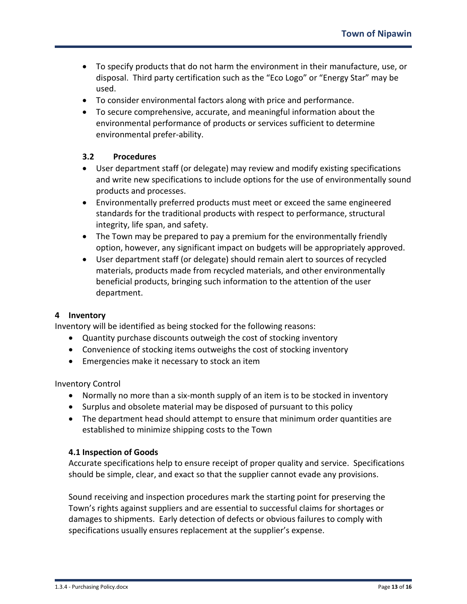- To specify products that do not harm the environment in their manufacture, use, or disposal. Third party certification such as the "Eco Logo" or "Energy Star" may be used.
- To consider environmental factors along with price and performance.
- To secure comprehensive, accurate, and meaningful information about the environmental performance of products or services sufficient to determine environmental prefer-ability.

## **3.2 Procedures**

- User department staff (or delegate) may review and modify existing specifications and write new specifications to include options for the use of environmentally sound products and processes.
- Environmentally preferred products must meet or exceed the same engineered standards for the traditional products with respect to performance, structural integrity, life span, and safety.
- The Town may be prepared to pay a premium for the environmentally friendly option, however, any significant impact on budgets will be appropriately approved.
- User department staff (or delegate) should remain alert to sources of recycled materials, products made from recycled materials, and other environmentally beneficial products, bringing such information to the attention of the user department.

#### **4 Inventory**

Inventory will be identified as being stocked for the following reasons:

- Quantity purchase discounts outweigh the cost of stocking inventory
- Convenience of stocking items outweighs the cost of stocking inventory
- Emergencies make it necessary to stock an item

Inventory Control

- Normally no more than a six-month supply of an item is to be stocked in inventory
- Surplus and obsolete material may be disposed of pursuant to this policy
- The department head should attempt to ensure that minimum order quantities are established to minimize shipping costs to the Town

#### **4.1 Inspection of Goods**

Accurate specifications help to ensure receipt of proper quality and service. Specifications should be simple, clear, and exact so that the supplier cannot evade any provisions.

Sound receiving and inspection procedures mark the starting point for preserving the Town's rights against suppliers and are essential to successful claims for shortages or damages to shipments. Early detection of defects or obvious failures to comply with specifications usually ensures replacement at the supplier's expense.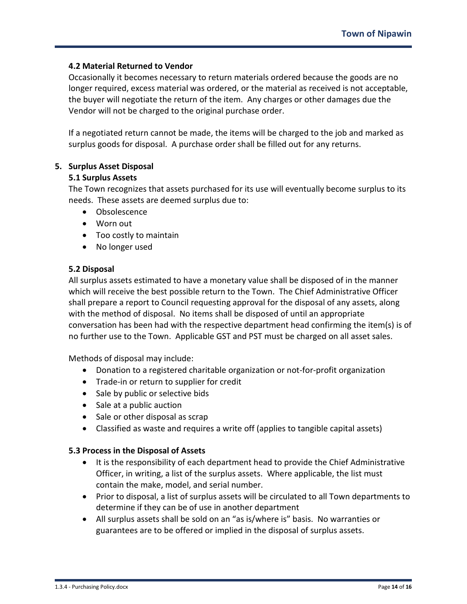#### **4.2 Material Returned to Vendor**

Occasionally it becomes necessary to return materials ordered because the goods are no longer required, excess material was ordered, or the material as received is not acceptable, the buyer will negotiate the return of the item. Any charges or other damages due the Vendor will not be charged to the original purchase order.

If a negotiated return cannot be made, the items will be charged to the job and marked as surplus goods for disposal. A purchase order shall be filled out for any returns.

#### **5. Surplus Asset Disposal**

#### **5.1 Surplus Assets**

The Town recognizes that assets purchased for its use will eventually become surplus to its needs. These assets are deemed surplus due to:

- Obsolescence
- Worn out
- Too costly to maintain
- No longer used

#### **5.2 Disposal**

All surplus assets estimated to have a monetary value shall be disposed of in the manner which will receive the best possible return to the Town. The Chief Administrative Officer shall prepare a report to Council requesting approval for the disposal of any assets, along with the method of disposal. No items shall be disposed of until an appropriate conversation has been had with the respective department head confirming the item(s) is of no further use to the Town. Applicable GST and PST must be charged on all asset sales.

Methods of disposal may include:

- Donation to a registered charitable organization or not-for-profit organization
- Trade-in or return to supplier for credit
- Sale by public or selective bids
- Sale at a public auction
- Sale or other disposal as scrap
- Classified as waste and requires a write off (applies to tangible capital assets)

## **5.3 Process in the Disposal of Assets**

- It is the responsibility of each department head to provide the Chief Administrative Officer, in writing, a list of the surplus assets. Where applicable, the list must contain the make, model, and serial number.
- Prior to disposal, a list of surplus assets will be circulated to all Town departments to determine if they can be of use in another department
- All surplus assets shall be sold on an "as is/where is" basis. No warranties or guarantees are to be offered or implied in the disposal of surplus assets.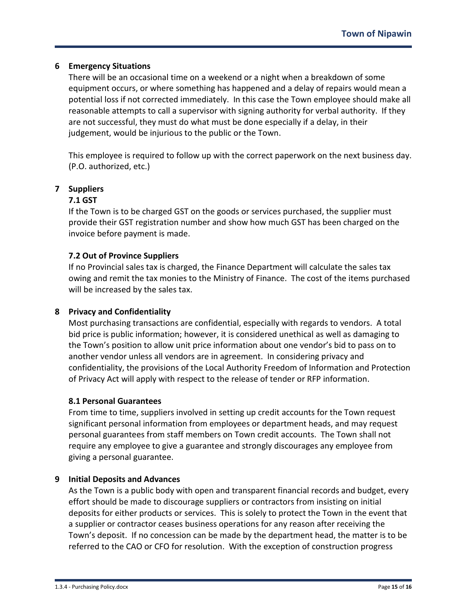## **6 Emergency Situations**

There will be an occasional time on a weekend or a night when a breakdown of some equipment occurs, or where something has happened and a delay of repairs would mean a potential loss if not corrected immediately. In this case the Town employee should make all reasonable attempts to call a supervisor with signing authority for verbal authority. If they are not successful, they must do what must be done especially if a delay, in their judgement, would be injurious to the public or the Town.

This employee is required to follow up with the correct paperwork on the next business day. (P.O. authorized, etc.)

## **7 Suppliers**

#### **7.1 GST**

If the Town is to be charged GST on the goods or services purchased, the supplier must provide their GST registration number and show how much GST has been charged on the invoice before payment is made.

#### **7.2 Out of Province Suppliers**

If no Provincial sales tax is charged, the Finance Department will calculate the sales tax owing and remit the tax monies to the Ministry of Finance. The cost of the items purchased will be increased by the sales tax.

## **8 Privacy and Confidentiality**

Most purchasing transactions are confidential, especially with regards to vendors. A total bid price is public information; however, it is considered unethical as well as damaging to the Town's position to allow unit price information about one vendor's bid to pass on to another vendor unless all vendors are in agreement. In considering privacy and confidentiality, the provisions of the Local Authority Freedom of Information and Protection of Privacy Act will apply with respect to the release of tender or RFP information.

#### **8.1 Personal Guarantees**

From time to time, suppliers involved in setting up credit accounts for the Town request significant personal information from employees or department heads, and may request personal guarantees from staff members on Town credit accounts. The Town shall not require any employee to give a guarantee and strongly discourages any employee from giving a personal guarantee.

#### **9 Initial Deposits and Advances**

As the Town is a public body with open and transparent financial records and budget, every effort should be made to discourage suppliers or contractors from insisting on initial deposits for either products or services. This is solely to protect the Town in the event that a supplier or contractor ceases business operations for any reason after receiving the Town's deposit. If no concession can be made by the department head, the matter is to be referred to the CAO or CFO for resolution. With the exception of construction progress